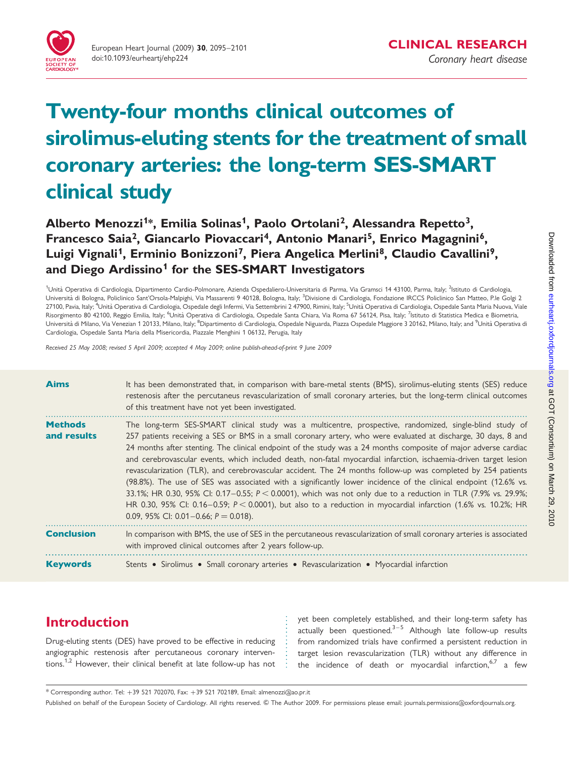

# Twenty-four months clinical outcomes of sirolimus-eluting stents for the treatment of small coronary arteries: the long-term SES-SMART clinical study

Alberto Menozzi<sup>1\*</sup>, Emilia Solinas<sup>1</sup>, Paolo Ortolani<sup>2</sup>, Alessandra Repetto<sup>3</sup>, Francesco Saia<sup>2</sup>, Giancarlo Piovaccari<sup>4</sup>, Antonio Manari<sup>5</sup>, Enrico Magagnini<sup>6</sup>, Luigi Vignali<sup>1</sup>, Erminio Bonizzoni<sup>7</sup>, Piera Angelica Merlini<sup>8</sup>, Claudio Cavallini<sup>9</sup>, and Diego Ardissino<sup>1</sup> for the SES-SMART Investigators

<sup>1</sup>Unità Operativa di Cardiologia, Dipartimento Cardio-Polmonare, Azienda Ospedaliero-Universitaria di Parma, Via Gramsci 14 43100, Parma, Italy; <sup>2</sup>Istituto di Cardiologia. Università di Bologna, Policlinico Sant'Orsola-Malpighi, Via Massarenti 9 40128, Bologna, Italy; <sup>3</sup>Divisione di Cardiologia, Fondazione IRCCS Policlinico San Matteo, P.le Golgi 2 27100, Pavia, Italy; <sup>4</sup>Unità Operativa di Cardiologia, Ospedale degli Infermi, Via Settembrini 2 47900, Rimini, Italy; <sup>5</sup>Unità Operativa di Cardiologia, Ospedale Santa Maria Nuova, Viale Risorgimento 80 42100, Reggio Emilia, Italy; <sup>6</sup>Unità Operativa di Cardiologia, Ospedale Santa Chiara, Via Roma 67 56124, Pisa, Italy; <sup>7</sup>Istituto di Statistica Medica e Biometria. Università di Milano, Via Venezian 1 20133, Milano, Italy; <sup>8</sup>Dipartimento di Cardiologia, Ospedale Niguarda, Piazza Ospedale Maggiore 3 20162, Milano, Italy; and <sup>9</sup>Unità Operativa d Cardiologia, Ospedale Santa Maria della Misericordia, Piazzale Menghini 1 06132, Perugia, Italy

Received 25 May 2008; revised 5 April 2009; accepted 4 May 2009; online publish-ahead-of-print 9 June 2009

| <b>Aims</b>                   | It has been demonstrated that, in comparison with bare-metal stents (BMS), sirolimus-eluting stents (SES) reduce<br>restenosis after the percutaneus revascularization of small coronary arteries, but the long-term clinical outcomes<br>of this treatment have not yet been investigated.                                                                                                                                                                                                                                                                                                                                                                                                                                                                                                                                                                                                                                                                                             |
|-------------------------------|-----------------------------------------------------------------------------------------------------------------------------------------------------------------------------------------------------------------------------------------------------------------------------------------------------------------------------------------------------------------------------------------------------------------------------------------------------------------------------------------------------------------------------------------------------------------------------------------------------------------------------------------------------------------------------------------------------------------------------------------------------------------------------------------------------------------------------------------------------------------------------------------------------------------------------------------------------------------------------------------|
| <b>Methods</b><br>and results | The long-term SES-SMART clinical study was a multicentre, prospective, randomized, single-blind study of<br>257 patients receiving a SES or BMS in a small coronary artery, who were evaluated at discharge, 30 days, 8 and<br>24 months after stenting. The clinical endpoint of the study was a 24 months composite of major adverse cardiac<br>and cerebrovascular events, which included death, non-fatal myocardial infarction, ischaemia-driven target lesion<br>revascularization (TLR), and cerebrovascular accident. The 24 months follow-up was completed by 254 patients<br>(98.8%). The use of SES was associated with a significantly lower incidence of the clinical endpoint (12.6% vs.<br>33.1%; HR 0.30, 95% CI: 0.17-0.55; P < 0.0001), which was not only due to a reduction in TLR (7.9% vs. 29.9%;<br>HR 0.30, 95% CI: 0.16–0.59; $P < 0.0001$ ), but also to a reduction in myocardial infarction (1.6% vs. 10.2%; HR<br>0.09, 95% CI: 0.01 - 0.66; $P = 0.018$ . |
| <b>Conclusion</b>             | In comparison with BMS, the use of SES in the percutaneous revascularization of small coronary arteries is associated<br>with improved clinical outcomes after 2 years follow-up.                                                                                                                                                                                                                                                                                                                                                                                                                                                                                                                                                                                                                                                                                                                                                                                                       |
| <b>Keywords</b>               | Stents • Sirolimus • Small coronary arteries • Revascularization • Myocardial infarction                                                                                                                                                                                                                                                                                                                                                                                                                                                                                                                                                                                                                                                                                                                                                                                                                                                                                                |

# Introduction

Drug-eluting stents (DES) have proved to be effective in reducing angiographic restenosis after percutaneous coronary interventions.<sup>1,2</sup> However, their clinical benefit at late follow-up has not yet been completely established, and their long-term safety has actually been questioned. $3-5$  Although late follow-up results from randomized trials have confirmed a persistent reduction in target lesion revascularization (TLR) without any difference in the incidence of death or myocardial infarction,  $6.7$  a few

 $*$  Corresponding author. Tel:  $+39$  521 702070, Fax:  $+39$  521 702189, Email: almenozzi@ao.pr.it

Published on behalf of the European Society of Cardiology. All rights reserved. © The Author 2009. For permissions please email: journals.permissions@oxfordjournals.org.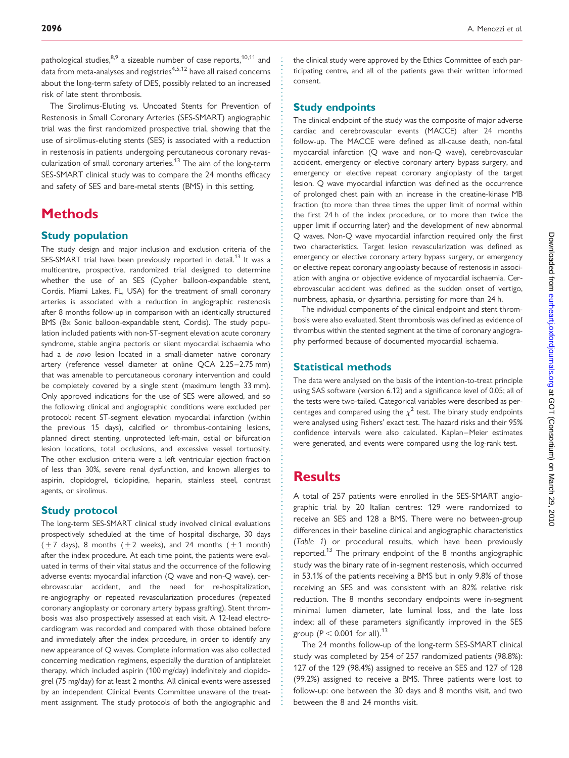pathological studies,<sup>8,9</sup> a sizeable number of case reports,<sup>10,11</sup> and data from meta-analyses and registries<sup>4,5,12</sup> have all raised concerns about the long-term safety of DES, possibly related to an increased risk of late stent thrombosis.

The Sirolimus-Eluting vs. Uncoated Stents for Prevention of Restenosis in Small Coronary Arteries (SES-SMART) angiographic trial was the first randomized prospective trial, showing that the use of sirolimus-eluting stents (SES) is associated with a reduction in restenosis in patients undergoing percutaneous coronary revascularization of small coronary arteries.<sup>13</sup> The aim of the long-term SES-SMART clinical study was to compare the 24 months efficacy and safety of SES and bare-metal stents (BMS) in this setting.

# **Methods**

## Study population

The study design and major inclusion and exclusion criteria of the SES-SMART trial have been previously reported in detail.<sup>13</sup> It was a multicentre, prospective, randomized trial designed to determine whether the use of an SES (Cypher balloon-expandable stent, Cordis, Miami Lakes, FL, USA) for the treatment of small coronary arteries is associated with a reduction in angiographic restenosis after 8 months follow-up in comparison with an identically structured BMS (Bx Sonic balloon-expandable stent, Cordis). The study population included patients with non-ST-segment elevation acute coronary syndrome, stable angina pectoris or silent myocardial ischaemia who had a de novo lesion located in a small-diameter native coronary artery (reference vessel diameter at online QCA 2.25–2.75 mm) that was amenable to percutaneous coronary intervention and could be completely covered by a single stent (maximum length 33 mm). Only approved indications for the use of SES were allowed, and so the following clinical and angiographic conditions were excluded per protocol: recent ST-segment elevation myocardial infarction (within the previous 15 days), calcified or thrombus-containing lesions, planned direct stenting, unprotected left-main, ostial or bifurcation lesion locations, total occlusions, and excessive vessel tortuosity. The other exclusion criteria were a left ventricular ejection fraction of less than 30%, severe renal dysfunction, and known allergies to aspirin, clopidogrel, ticlopidine, heparin, stainless steel, contrast agents, or sirolimus.

### Study protocol

The long-term SES-SMART clinical study involved clinical evaluations prospectively scheduled at the time of hospital discharge, 30 days  $(\pm 7$  days), 8 months ( $\pm 2$  weeks), and 24 months ( $\pm 1$  month) after the index procedure. At each time point, the patients were evaluated in terms of their vital status and the occurrence of the following adverse events: myocardial infarction (Q wave and non-Q wave), cerebrovascular accident, and the need for re-hospitalization, re-angiography or repeated revascularization procedures (repeated coronary angioplasty or coronary artery bypass grafting). Stent thrombosis was also prospectively assessed at each visit. A 12-lead electrocardiogram was recorded and compared with those obtained before and immediately after the index procedure, in order to identify any new appearance of Q waves. Complete information was also collected concerning medication regimens, especially the duration of antiplatelet therapy, which included aspirin (100 mg/day) indefinitely and clopidogrel (75 mg/day) for at least 2 months. All clinical events were assessed by an independent Clinical Events Committee unaware of the treatment assignment. The study protocols of both the angiographic and

the clinical study were approved by the Ethics Committee of each participating centre, and all of the patients gave their written informed consent.

## Study endpoints

The clinical endpoint of the study was the composite of major adverse cardiac and cerebrovascular events (MACCE) after 24 months follow-up. The MACCE were defined as all-cause death, non-fatal myocardial infarction (Q wave and non-Q wave), cerebrovascular accident, emergency or elective coronary artery bypass surgery, and emergency or elective repeat coronary angioplasty of the target lesion. Q wave myocardial infarction was defined as the occurrence of prolonged chest pain with an increase in the creatine-kinase MB fraction (to more than three times the upper limit of normal within the first 24 h of the index procedure, or to more than twice the upper limit if occurring later) and the development of new abnormal Q waves. Non-Q wave myocardial infarction required only the first two characteristics. Target lesion revascularization was defined as emergency or elective coronary artery bypass surgery, or emergency or elective repeat coronary angioplasty because of restenosis in association with angina or objective evidence of myocardial ischaemia. Cerebrovascular accident was defined as the sudden onset of vertigo, numbness, aphasia, or dysarthria, persisting for more than 24 h.

The individual components of the clinical endpoint and stent thrombosis were also evaluated. Stent thrombosis was defined as evidence of thrombus within the stented segment at the time of coronary angiography performed because of documented myocardial ischaemia.

#### Statistical methods

The data were analysed on the basis of the intention-to-treat principle using SAS software (version 6.12) and a significance level of 0.05; all of the tests were two-tailed. Categorical variables were described as percentages and compared using the  $\chi^2$  test. The binary study endpoints were analysed using Fishers' exact test. The hazard risks and their 95% confidence intervals were also calculated. Kaplan–Meier estimates were generated, and events were compared using the log-rank test.

## **Results**

A total of 257 patients were enrolled in the SES-SMART angiographic trial by 20 Italian centres: 129 were randomized to receive an SES and 128 a BMS. There were no between-group differences in their baseline clinical and angiographic characteristics (Table 1) or procedural results, which have been previously reported.<sup>13</sup> The primary endpoint of the 8 months angiographic study was the binary rate of in-segment restenosis, which occurred in 53.1% of the patients receiving a BMS but in only 9.8% of those receiving an SES and was consistent with an 82% relative risk reduction. The 8 months secondary endpoints were in-segment minimal lumen diameter, late luminal loss, and the late loss index; all of these parameters significantly improved in the SES group ( $P < 0.001$  for all).<sup>13</sup>

The 24 months follow-up of the long-term SES-SMART clinical study was completed by 254 of 257 randomized patients (98.8%): 127 of the 129 (98.4%) assigned to receive an SES and 127 of 128 (99.2%) assigned to receive a BMS. Three patients were lost to follow-up: one between the 30 days and 8 months visit, and two between the 8 and 24 months visit.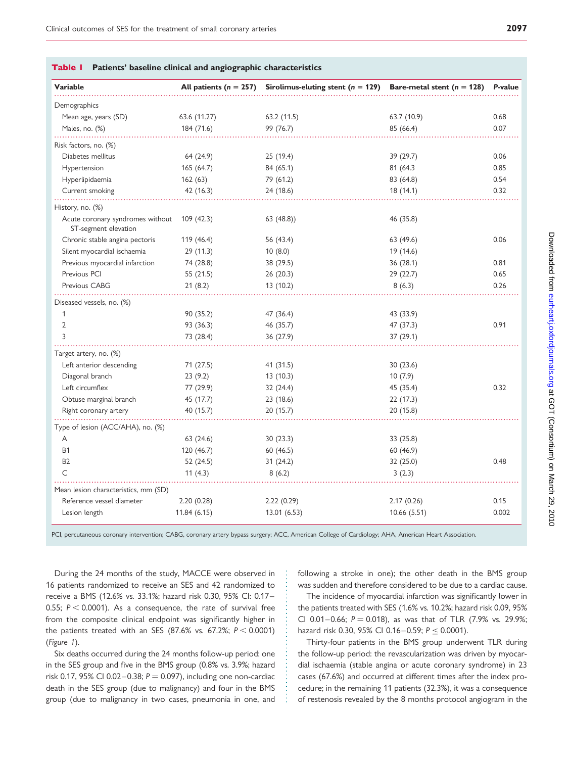| <b>Variable</b>                                          | All patients $(n = 257)$ | Sirolimus-eluting stent ( $n = 129$ ) | Bare-metal stent $(n = 128)$ | P-value |
|----------------------------------------------------------|--------------------------|---------------------------------------|------------------------------|---------|
| Demographics                                             |                          |                                       |                              |         |
| Mean age, years (SD)                                     | 63.6 (11.27)             | 63.2(11.5)                            | 63.7 (10.9)                  | 0.68    |
| Males, no. (%)                                           | 184 (71.6)               | 99 (76.7)                             | 85 (66.4)                    | 0.07    |
| Risk factors, no. (%)                                    |                          |                                       |                              |         |
| Diabetes mellitus                                        | 64 (24.9)                | 25(19.4)                              | 39 (29.7)                    | 0.06    |
| Hypertension                                             | 165 (64.7)               | 84 (65.1)                             | 81 (64.3                     | 0.85    |
| Hyperlipidaemia                                          | 162(63)                  | 79 (61.2)                             | 83 (64.8)                    | 0.54    |
| Current smoking                                          | 42 (16.3)                | 24 (18.6)                             | 18 (14.1)                    | 0.32    |
| History, no. (%)                                         |                          |                                       |                              |         |
| Acute coronary syndromes without<br>ST-segment elevation | 109 (42.3)               | 63(48.8)                              | 46 (35.8)                    |         |
| Chronic stable angina pectoris                           | 119 (46.4)               | 56 (43.4)                             | 63 (49.6)                    | 0.06    |
| Silent myocardial ischaemia                              | 29(11.3)                 | 10(8.0)                               | 19 (14.6)                    |         |
| Previous myocardial infarction                           | 74 (28.8)                | 38 (29.5)                             | 36(28.1)                     | 0.81    |
| Previous PCI                                             | 55(21.5)                 | 26(20.3)                              | 29 (22.7)                    | 0.65    |
| Previous CABG                                            | 21(8.2)                  | 13(10.2)                              | 8(6.3)                       | 0.26    |
| Diseased vessels, no. (%)                                |                          |                                       |                              |         |
| 1                                                        | 90 (35.2)                | 47 (36.4)                             | 43 (33.9)                    |         |
| $\overline{2}$                                           | 93 (36.3)                | 46 (35.7)                             | 47 (37.3)                    | 0.91    |
| 3                                                        | 73 (28.4)                | 36 (27.9)                             | 37(29.1)                     |         |
| Target artery, no. (%)                                   |                          |                                       |                              |         |
| Left anterior descending                                 | 71 (27.5)                | 41 (31.5)                             | 30(23.6)                     |         |
| Diagonal branch                                          | 23(9.2)                  | 13(10.3)                              | 10(7.9)                      |         |
| Left circumflex                                          | 77 (29.9)                | 32 (24.4)                             | 45 (35.4)                    | 0.32    |
| Obtuse marginal branch                                   | 45 (17.7)                | 23(18.6)                              | 22(17.3)                     |         |
| Right coronary artery                                    | 40 (15.7)                | 20 (15.7)                             | 20 (15.8)                    |         |
| Type of lesion (ACC/AHA), no. (%)                        |                          |                                       |                              |         |
| Α                                                        | 63 (24.6)                | 30(23.3)                              | 33 (25.8)                    |         |
| <b>B1</b>                                                | 120 (46.7)               | 60(46.5)                              | 60(46.9)                     |         |
| B <sub>2</sub>                                           | 52 (24.5)                | 31 (24.2)                             | 32(25.0)                     | 0.48    |
| C                                                        | 11 $(4.3)$               | 8(6.2)                                | 3(2.3)                       |         |
| Mean lesion characteristics, mm (SD)                     |                          |                                       |                              |         |
| Reference vessel diameter                                | 2.20(0.28)               | 2.22(0.29)                            | 2.17(0.26)                   | 0.15    |
| Lesion length                                            | 11.84(6.15)              | 13.01 (6.53)                          | 10.66(5.51)                  | 0.002   |

PCI, percutaneous coronary intervention; CABG, coronary artery bypass surgery; ACC, American College of Cardiology; AHA, American Heart Association.

During the 24 months of the study, MACCE were observed in 16 patients randomized to receive an SES and 42 randomized to receive a BMS (12.6% vs. 33.1%; hazard risk 0.30, 95% CI: 0.17– 0.55;  $P < 0.0001$ ). As a consequence, the rate of survival free from the composite clinical endpoint was significantly higher in the patients treated with an SES (87.6% vs. 67.2%;  $P < 0.0001$ ) (Figure 1).

Six deaths occurred during the 24 months follow-up period: one in the SES group and five in the BMS group (0.8% vs. 3.9%; hazard risk 0.17, 95% CI 0.02-0.38;  $P = 0.097$ ), including one non-cardiac death in the SES group (due to malignancy) and four in the BMS group (due to malignancy in two cases, pneumonia in one, and following a stroke in one); the other death in the BMS group was sudden and therefore considered to be due to a cardiac cause.

The incidence of myocardial infarction was significantly lower in the patients treated with SES (1.6% vs. 10.2%; hazard risk 0.09, 95% CI 0.01–0.66;  $P = 0.018$ ), as was that of TLR (7.9% vs. 29.9%; hazard risk 0.30, 95% CI 0.16-0.59;  $P \le 0.0001$ ).

Thirty-four patients in the BMS group underwent TLR during the follow-up period: the revascularization was driven by myocardial ischaemia (stable angina or acute coronary syndrome) in 23 cases (67.6%) and occurred at different times after the index procedure; in the remaining 11 patients (32.3%), it was a consequence of restenosis revealed by the 8 months protocol angiogram in the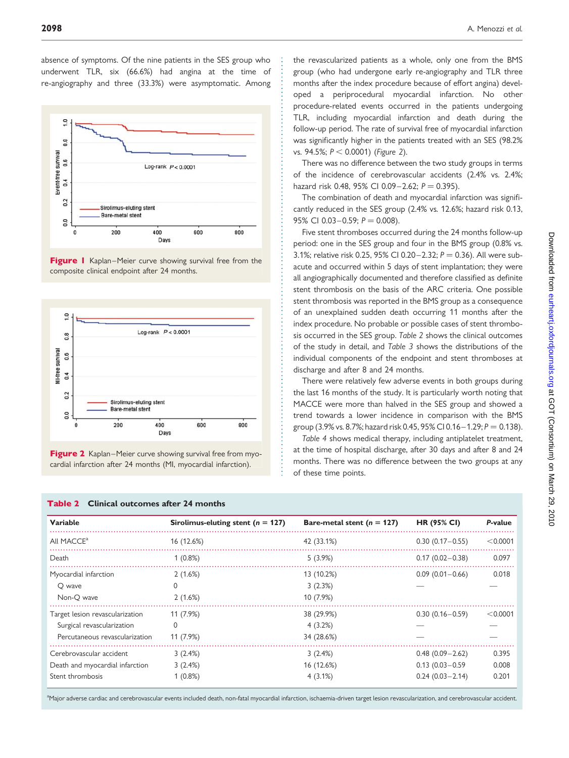absence of symptoms. Of the nine patients in the SES group who underwent TLR, six (66.6%) had angina at the time of



re-angiography and three (33.3%) were asymptomatic. Among

Figure I Kaplan–Meier curve showing survival free from the composite clinical endpoint after 24 months.





Table 2 Clinical outcomes after 24 months

the revascularized patients as a whole, only one from the BMS group (who had undergone early re-angiography and TLR three months after the index procedure because of effort angina) developed a periprocedural myocardial infarction. No other procedure-related events occurred in the patients undergoing TLR, including myocardial infarction and death during the follow-up period. The rate of survival free of myocardial infarction was significantly higher in the patients treated with an SES (98.2% vs. 94.5%;  $P < 0.0001$ ) (Figure 2).

There was no difference between the two study groups in terms of the incidence of cerebrovascular accidents (2.4% vs. 2.4%; hazard risk 0.48, 95% CI 0.09-2.62;  $P = 0.395$ ).

The combination of death and myocardial infarction was significantly reduced in the SES group (2.4% vs. 12.6%; hazard risk 0.13, 95% CI 0.03-0.59;  $P = 0.008$ ).

Five stent thromboses occurred during the 24 months follow-up period: one in the SES group and four in the BMS group (0.8% vs. 3.1%; relative risk 0.25, 95% CI 0.20–2.32;  $P = 0.36$ ). All were subacute and occurred within 5 days of stent implantation; they were all angiographically documented and therefore classified as definite stent thrombosis on the basis of the ARC criteria. One possible stent thrombosis was reported in the BMS group as a consequence of an unexplained sudden death occurring 11 months after the index procedure. No probable or possible cases of stent thrombosis occurred in the SES group. Table 2 shows the clinical outcomes of the study in detail, and Table 3 shows the distributions of the individual components of the endpoint and stent thromboses at discharge and after 8 and 24 months.

There were relatively few adverse events in both groups during the last 16 months of the study. It is particularly worth noting that MACCE were more than halved in the SES group and showed a trend towards a lower incidence in comparison with the BMS group (3.9% vs. 8.7%; hazard risk 0.45, 95% CI 0.16 – 1.29;  $P = 0.138$ ).

Table 4 shows medical therapy, including antiplatelet treatment, at the time of hospital discharge, after 30 days and after 8 and 24 months. There was no difference between the two groups at any of these time points.

| Variable                        | Sirolimus-eluting stent ( $n = 127$ ) | Bare-metal stent $(n = 127)$ | <b>HR (95% CI)</b>  | P-value  |
|---------------------------------|---------------------------------------|------------------------------|---------------------|----------|
| All MACCE <sup>a</sup>          | 16 (12.6%)                            | 42 (33.1%)                   | $0.30(0.17 - 0.55)$ | < 0.0001 |
| Death                           | $1(0.8\%)$                            | $5(3.9\%)$                   | $0.17(0.02 - 0.38)$ | 0.097    |
| Myocardial infarction           | 2(1.6%)                               | 13 (10.2%)                   | $0.09(0.01 - 0.66)$ | 0.018    |
| O wave                          | 0                                     | 3(2.3%)                      |                     |          |
| Non-O wave                      | 2(1.6%)                               | 10(7.9%)                     |                     |          |
| Target lesion revascularization | 11(7.9%)                              | 38 (29.9%)                   | $0.30(0.16 - 0.59)$ | < 0.0001 |
| Surgical revascularization      | $\Omega$                              | 4(3.2%)                      |                     |          |
| Percutaneous revascularization  | 11(7.9%)                              | 34 (28.6%)                   |                     |          |
| Cerebrovascular accident        | 3(2.4%)                               | 3(2.4%)                      | $0.48(0.09 - 2.62)$ | 0.395    |
| Death and myocardial infarction | 3(2.4%)                               | 16 (12.6%)                   | $0.13(0.03 - 0.59)$ | 0.008    |
| Stent thrombosis                | $1(0.8\%)$                            | 4(3.1%)                      | $0.24(0.03 - 2.14)$ | 0.201    |

a Major adverse cardiac and cerebrovascular events included death, non-fatal myocardial infarction, ischaemia-driven target lesion revascularization, and cerebrovascular accident.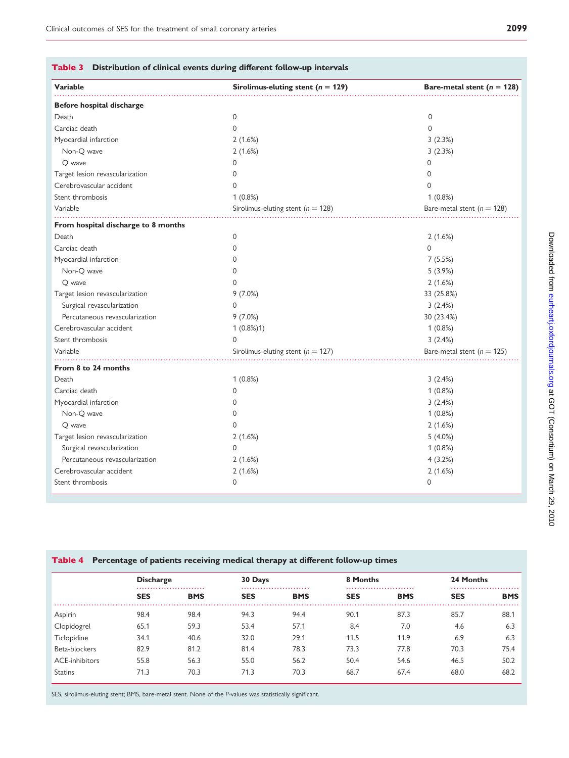### Table 3 Distribution of clinical events during different follow-up intervals

| Variable                            | Sirolimus-eluting stent ( $n = 129$ ) | Bare-metal stent $(n = 128)$   |
|-------------------------------------|---------------------------------------|--------------------------------|
| Before hospital discharge           |                                       |                                |
| Death                               | 0                                     | 0                              |
| Cardiac death                       | $\Omega$                              | 0                              |
| Myocardial infarction               | 2(1.6%)                               | 3(2.3%)                        |
| Non-Q wave                          | 2(1.6%)                               | 3(2.3%)                        |
| O wave                              | $\Omega$                              | $\Omega$                       |
| Target lesion revascularization     | $\Omega$                              | 0                              |
| Cerebrovascular accident            | $\Omega$                              | $\Omega$                       |
| Stent thrombosis                    | 1(0.8%)                               | 1(0.8%)                        |
| Variable                            | Sirolimus-eluting stent ( $n = 128$ ) | Bare-metal stent ( $n = 128$ ) |
| From hospital discharge to 8 months |                                       |                                |
| Death                               | 0                                     | 2(1.6%)                        |
| Cardiac death                       | 0                                     | $\mathbf 0$                    |
| Myocardial infarction               | 0                                     | 7(5.5%)                        |
| Non-Q wave                          | 0                                     | 5(3.9%)                        |
| O wave                              | 0                                     | 2(1.6%)                        |
| Target lesion revascularization     | $9(7.0\%)$                            | 33 (25.8%)                     |
| Surgical revascularization          | 0                                     | 3(2.4%)                        |
| Percutaneous revascularization      | 9(7.0%)                               | 30 (23.4%)                     |
| Cerebrovascular accident            | $1(0.8\%)1$                           | $1(0.8\%)$                     |
| Stent thrombosis                    | $\mathbf 0$                           | 3(2.4%)                        |
| Variable                            | Sirolimus-eluting stent ( $n = 127$ ) | Bare-metal stent ( $n = 125$ ) |
| From 8 to 24 months                 |                                       |                                |
| Death                               | 1(0.8%)                               | 3(2.4%)                        |
| Cardiac death                       | 0                                     | $1(0.8\%)$                     |
| Myocardial infarction               | 0                                     | 3(2.4%)                        |
| Non-Q wave                          | 0                                     | $1(0.8\%)$                     |
| O wave                              | 0                                     | 2(1.6%)                        |
| Target lesion revascularization     | 2(1.6%)                               | $5(4.0\%)$                     |
| Surgical revascularization          | $\Omega$                              | 1(0.8%)                        |
| Percutaneous revascularization      | 2(1.6%)                               | 4(3.2%)                        |
| Cerebrovascular accident            | 2(1.6%)                               | 2(1.6%)                        |
| Stent thrombosis                    | 0                                     | 0                              |

|                | <b>Discharge</b> |            | 30 Days    |                 | 8 Months   |                 | 24 Months  |                 |
|----------------|------------------|------------|------------|-----------------|------------|-----------------|------------|-----------------|
|                | <b>SES</b>       | <b>BMS</b> | <b>SES</b> | .<br><b>BMS</b> | <b>SES</b> | .<br><b>BMS</b> | <b>SES</b> | .<br><b>BMS</b> |
| Aspirin        | 98.4             | 98.4       | 94.3       | 94.4            | 90.1       | 87.3            | 85.7       | 88.1            |
| Clopidogrel    | 65.1             | 59.3       | 53.4       | 57.1            | 8.4        | 7.0             | 4.6        | 6.3             |
| Ticlopidine    | 34.1             | 40.6       | 32.0       | 29.1            | 11.5       | 11.9            | 6.9        | 6.3             |
| Beta-blockers  | 82.9             | 81.2       | 81.4       | 78.3            | 73.3       | 77.8            | 70.3       | 75.4            |
| ACE-inhibitors | 55.8             | 56.3       | 55.0       | 56.2            | 50.4       | 54.6            | 46.5       | 50.2            |
| <b>Statins</b> | 71.3             | 70.3       | 71.3       | 70.3            | 68.7       | 67.4            | 68.0       | 68.2            |

SES, sirolimus-eluting stent; BMS, bare-metal stent. None of the P-values was statistically significant.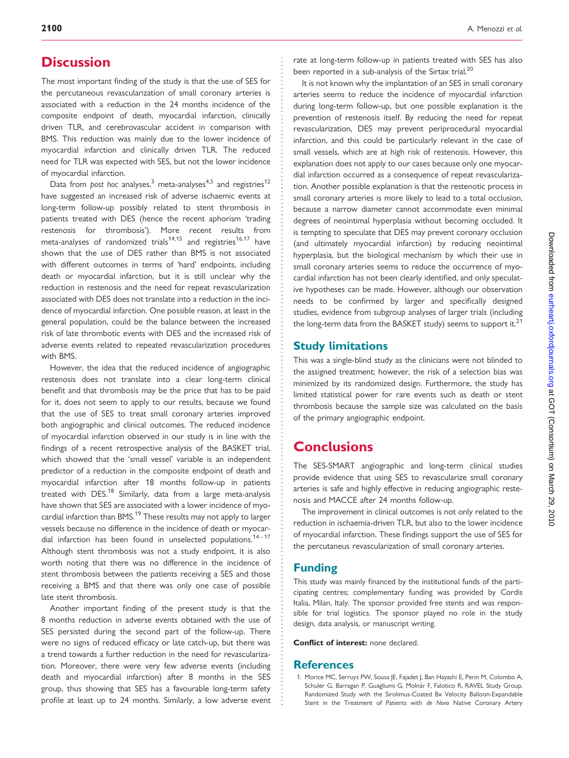# **Discussion**

The most important finding of the study is that the use of SES for the percutaneous revascularization of small coronary arteries is associated with a reduction in the 24 months incidence of the composite endpoint of death, myocardial infarction, clinically driven TLR, and cerebrovascular accident in comparison with BMS. This reduction was mainly due to the lower incidence of myocardial infarction and clinically driven TLR. The reduced need for TLR was expected with SES, but not the lower incidence of myocardial infarction.

Data from post hoc analyses,<sup>3</sup> meta-analyses<sup>4,5</sup> and registries<sup>12</sup> have suggested an increased risk of adverse ischaemic events at long-term follow-up possibly related to stent thrombosis in patients treated with DES (hence the recent aphorism 'trading restenosis for thrombosis'). More recent results from meta-analyses of randomized trials<sup>14,15</sup> and registries<sup>16,17</sup> have shown that the use of DES rather than BMS is not associated with different outcomes in terms of 'hard' endpoints, including death or myocardial infarction, but it is still unclear why the reduction in restenosis and the need for repeat revascularization associated with DES does not translate into a reduction in the incidence of myocardial infarction. One possible reason, at least in the general population, could be the balance between the increased risk of late thrombotic events with DES and the increased risk of adverse events related to repeated revascularization procedures with BMS.

However, the idea that the reduced incidence of angiographic restenosis does not translate into a clear long-term clinical benefit and that thrombosis may be the price that has to be paid for it, does not seem to apply to our results, because we found that the use of SES to treat small coronary arteries improved both angiographic and clinical outcomes. The reduced incidence of myocardial infarction observed in our study is in line with the findings of a recent retrospective analysis of the BASKET trial, which showed that the 'small vessel' variable is an independent predictor of a reduction in the composite endpoint of death and myocardial infarction after 18 months follow-up in patients treated with DES.<sup>18</sup> Similarly, data from a large meta-analysis have shown that SES are associated with a lower incidence of myocardial infarction than BMS.<sup>19</sup> These results may not apply to larger vessels because no difference in the incidence of death or myocardial infarction has been found in unselected populations. $14-17$ Although stent thrombosis was not a study endpoint, it is also worth noting that there was no difference in the incidence of stent thrombosis between the patients receiving a SES and those receiving a BMS and that there was only one case of possible late stent thrombosis.

Another important finding of the present study is that the 8 months reduction in adverse events obtained with the use of SES persisted during the second part of the follow-up. There were no signs of reduced efficacy or late catch-up, but there was a trend towards a further reduction in the need for revascularization. Moreover, there were very few adverse events (including death and myocardial infarction) after 8 months in the SES group, thus showing that SES has a favourable long-term safety profile at least up to 24 months. Similarly, a low adverse event

rate at long-term follow-up in patients treated with SES has also been reported in a sub-analysis of the Sirtax trial.<sup>20</sup>

It is not known why the implantation of an SES in small coronary arteries seems to reduce the incidence of myocardial infarction during long-term follow-up, but one possible explanation is the prevention of restenosis itself. By reducing the need for repeat revascularization, DES may prevent periprocedural myocardial infarction, and this could be particularly relevant in the case of small vessels, which are at high risk of restenosis. However, this explanation does not apply to our cases because only one myocardial infarction occurred as a consequence of repeat revascularization. Another possible explanation is that the restenotic process in small coronary arteries is more likely to lead to a total occlusion, because a narrow diameter cannot accommodate even minimal degrees of neointimal hyperplasia without becoming occluded. It is tempting to speculate that DES may prevent coronary occlusion (and ultimately myocardial infarction) by reducing neointimal hyperplasia, but the biological mechanism by which their use in small coronary arteries seems to reduce the occurrence of myocardial infarction has not been clearly identified, and only speculative hypotheses can be made. However, although our observation needs to be confirmed by larger and specifically designed studies, evidence from subgroup analyses of larger trials (including the long-term data from the BASKET study) seems to support it. $21$ 

## Study limitations

This was a single-blind study as the clinicians were not blinded to the assigned treatment; however, the risk of a selection bias was minimized by its randomized design. Furthermore, the study has limited statistical power for rare events such as death or stent thrombosis because the sample size was calculated on the basis of the primary angiographic endpoint.

# **Conclusions**

The SES-SMART angiographic and long-term clinical studies provide evidence that using SES to revascularize small coronary arteries is safe and highly effective in reducing angiographic restenosis and MACCE after 24 months follow-up.

The improvement in clinical outcomes is not only related to the reduction in ischaemia-driven TLR, but also to the lower incidence of myocardial infarction. These findings support the use of SES for the percutaneus revascularization of small coronary arteries.

## Funding

This study was mainly financed by the institutional funds of the participating centres; complementary funding was provided by Cordis Italia, Milan, Italy. The sponsor provided free stents and was responsible for trial logistics. The sponsor played no role in the study design, data analysis, or manuscript writing.

Conflict of interest: none declared.

## **References**

1. Morice MC, Serruys PW, Sousa JE, Fajadet J, Ban Hayashi E, Perin M, Colombo A, Schuler G, Barragan P, Guagliumi G, Molnàr F, Falotico R, RAVEL Study Group. Randomized Study with the Sirolimus-Coated Bx Velocity Balloon-Expandable Stent in the Treatment of Patients with de Novo Native Coronary Artery